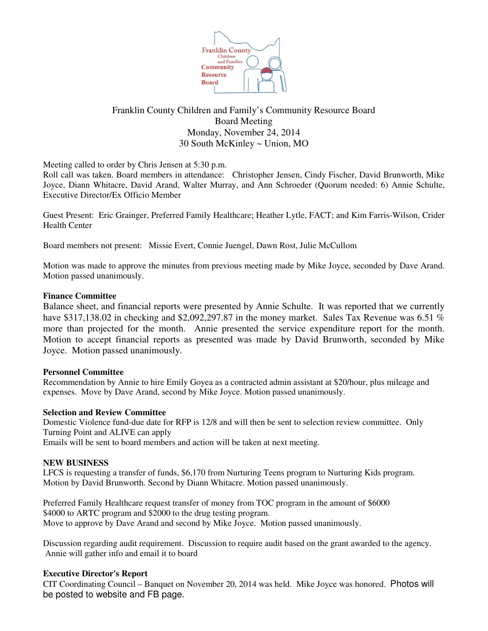

# Franklin County Children and Family's Community Resource Board Board Meeting Monday, November 24, 2014 30 South McKinley ~ Union, MO

Meeting called to order by Chris Jensen at 5:30 p.m.

Roll call was taken. Board members in attendance: Christopher Jensen, Cindy Fischer, David Brunworth, Mike Joyce, Diann Whitacre, David Arand, Walter Murray, and Ann Schroeder (Quorum needed: 6) Annie Schulte, Executive Director/Ex Officio Member

Guest Present: Eric Grainger, Preferred Family Healthcare; Heather Lytle, FACT; and Kim Farris-Wilson, Crider Health Center

Board members not present: Missie Evert, Connie Juengel, Dawn Rost, Julie McCullom

Motion was made to approve the minutes from previous meeting made by Mike Joyce, seconded by Dave Arand. Motion passed unanimously.

### **Finance Committee**

Balance sheet, and financial reports were presented by Annie Schulte. It was reported that we currently have \$317,138.02 in checking and \$2,092,297.87 in the money market. Sales Tax Revenue was 6.51 % more than projected for the month. Annie presented the service expenditure report for the month. Motion to accept financial reports as presented was made by David Brunworth, seconded by Mike Joyce. Motion passed unanimously.

### **Personnel Committee**

Recommendation by Annie to hire Emily Goyea as a contracted admin assistant at \$20/hour, plus mileage and expenses. Move by Dave Arand, second by Mike Joyce. Motion passed unanimously.

### **Selection and Review Committee**

Domestic Violence fund-due date for RFP is 12/8 and will then be sent to selection review committee. Only Turning Point and ALIVE can apply

Emails will be sent to board members and action will be taken at next meeting.

## **NEW BUSINESS**

LFCS is requesting a transfer of funds, \$6,170 from Nurturing Teens program to Nurturing Kids program. Motion by David Brunworth. Second by Diann Whitacre. Motion passed unanimously.

Preferred Family Healthcare request transfer of money from TOC program in the amount of \$6000 \$4000 to ARTC program and \$2000 to the drug testing program. Move to approve by Dave Arand and second by Mike Joyce. Motion passed unanimously.

Discussion regarding audit requirement. Discussion to require audit based on the grant awarded to the agency. Annie will gather info and email it to board

### **Executive Director's Report**

CIT Coordinating Council – Banquet on November 20, 2014 was held. Mike Joyce was honored. Photos will be posted to website and FB page.